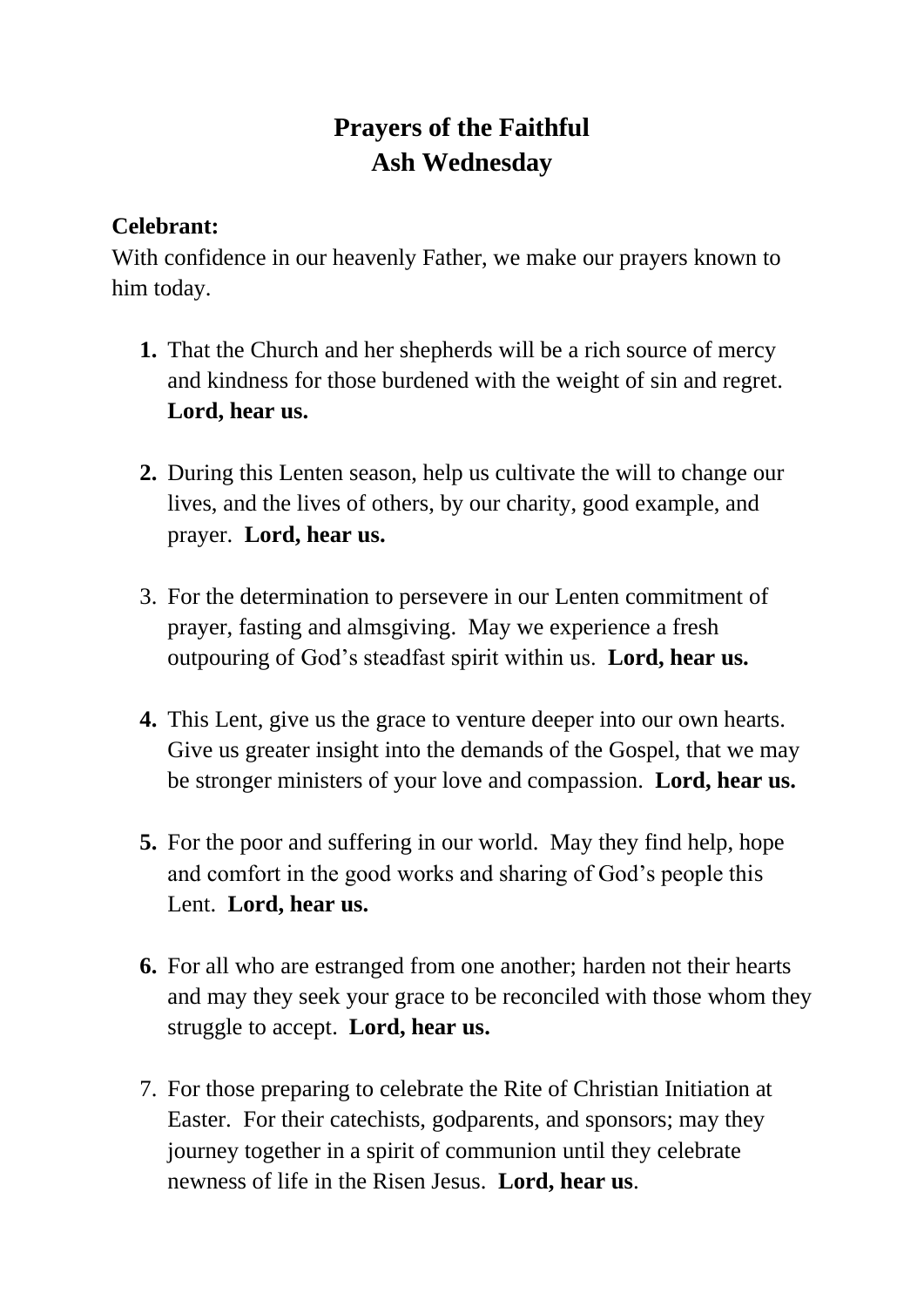## **Prayers of the Faithful Ash Wednesday**

## **Celebrant:**

With confidence in our heavenly Father, we make our prayers known to him today.

- **1.** That the Church and her shepherds will be a rich source of mercy and kindness for those burdened with the weight of sin and regret. **Lord, hear us.**
- **2.** During this Lenten season, help us cultivate the will to change our lives, and the lives of others, by our charity, good example, and prayer. **Lord, hear us.**
- 3. For the determination to persevere in our Lenten commitment of prayer, fasting and almsgiving. May we experience a fresh outpouring of God's steadfast spirit within us. **Lord, hear us.**
- **4.** This Lent, give us the grace to venture deeper into our own hearts. Give us greater insight into the demands of the Gospel, that we may be stronger ministers of your love and compassion. **Lord, hear us.**
- **5.** For the poor and suffering in our world. May they find help, hope and comfort in the good works and sharing of God's people this Lent. **Lord, hear us.**
- **6.** For all who are estranged from one another; harden not their hearts and may they seek your grace to be reconciled with those whom they struggle to accept. **Lord, hear us.**
- 7. For those preparing to celebrate the Rite of Christian Initiation at Easter. For their catechists, godparents, and sponsors; may they journey together in a spirit of communion until they celebrate newness of life in the Risen Jesus. **Lord, hear us**.